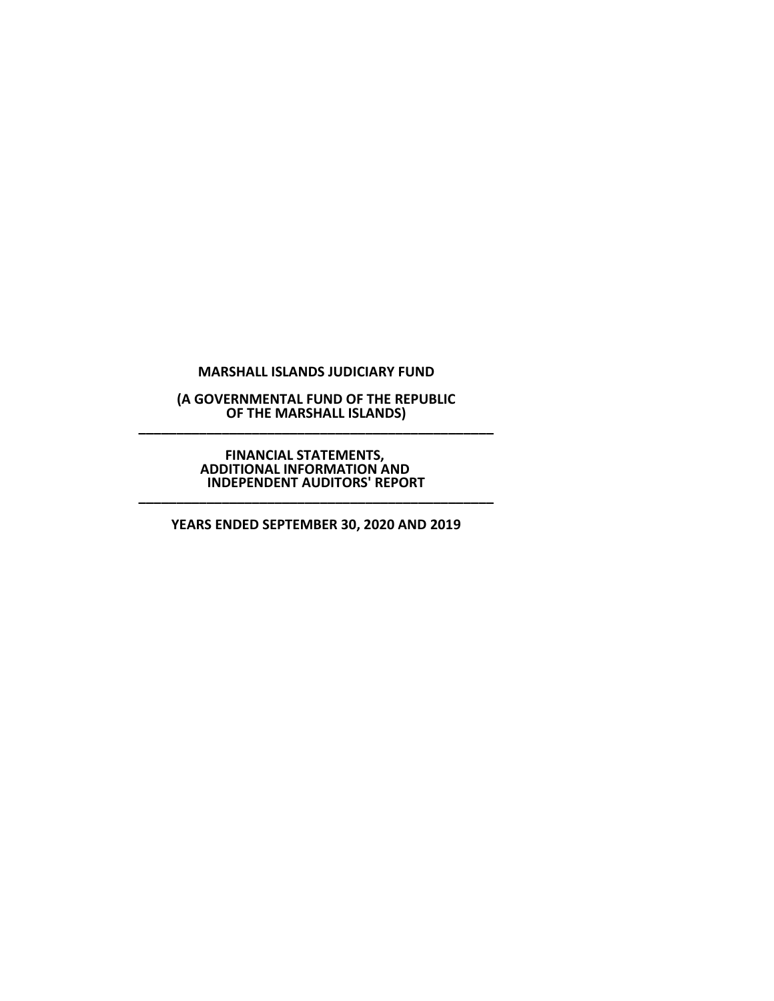**(A GOVERNMENTAL FUND OF THE REPUBLIC OF THE MARSHALL ISLANDS)** 

# **FINANCIAL STATEMENTS, ADDITIONAL INFORMATION AND INDEPENDENT AUDITORS' REPORT \_\_\_\_\_\_\_\_\_\_\_\_\_\_\_\_\_\_\_\_\_\_\_\_\_\_\_\_\_\_\_\_\_\_\_\_\_\_\_\_\_\_\_\_\_\_\_**

**YEARS ENDED SEPTEMBER 30, 2020 AND 2019**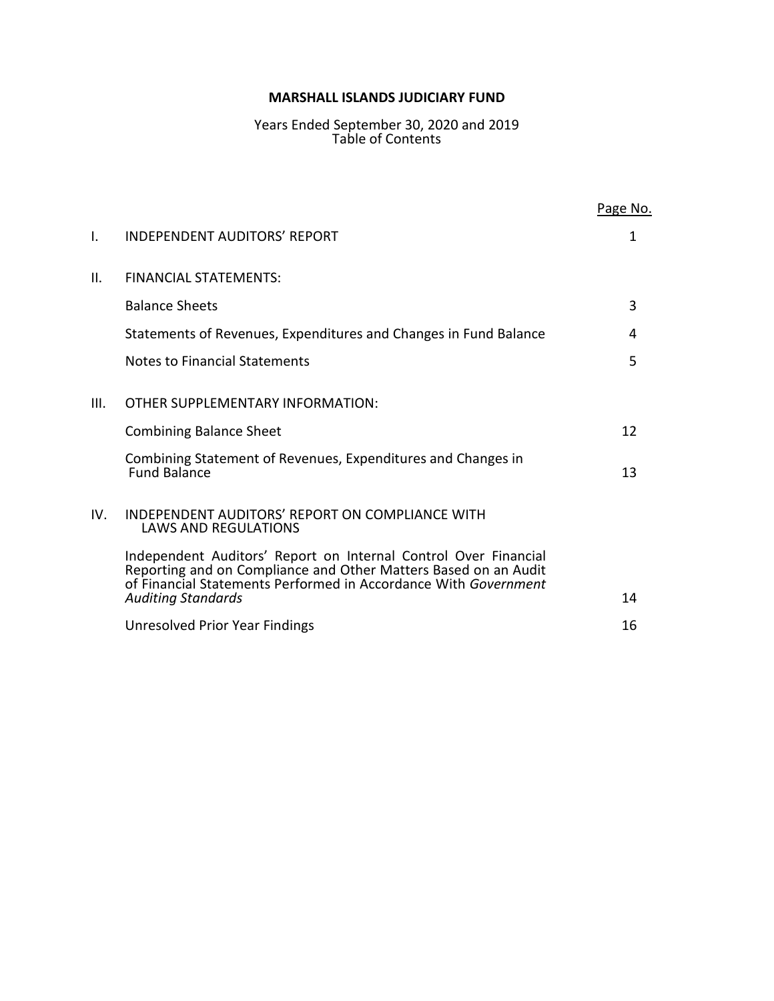#### Years Ended September 30, 2020 and 2019 Table of Contents

|      |                                                                                                                                                                                                                                    | Page No. |
|------|------------------------------------------------------------------------------------------------------------------------------------------------------------------------------------------------------------------------------------|----------|
| I.   | <b>INDEPENDENT AUDITORS' REPORT</b>                                                                                                                                                                                                | 1        |
| ΙΙ.  | <b>FINANCIAL STATEMENTS:</b>                                                                                                                                                                                                       |          |
|      | <b>Balance Sheets</b>                                                                                                                                                                                                              | 3        |
|      | Statements of Revenues, Expenditures and Changes in Fund Balance                                                                                                                                                                   | 4        |
|      | <b>Notes to Financial Statements</b>                                                                                                                                                                                               | 5        |
| III. | OTHER SUPPLEMENTARY INFORMATION:                                                                                                                                                                                                   |          |
|      | <b>Combining Balance Sheet</b>                                                                                                                                                                                                     | 12       |
|      | Combining Statement of Revenues, Expenditures and Changes in<br><b>Fund Balance</b>                                                                                                                                                | 13       |
| IV.  | INDEPENDENT AUDITORS' REPORT ON COMPLIANCE WITH<br><b>LAWS AND REGULATIONS</b>                                                                                                                                                     |          |
|      | Independent Auditors' Report on Internal Control Over Financial<br>Reporting and on Compliance and Other Matters Based on an Audit<br>of Financial Statements Performed in Accordance With Government<br><b>Auditing Standards</b> | 14       |
|      | Unresolved Prior Year Findings                                                                                                                                                                                                     | 16       |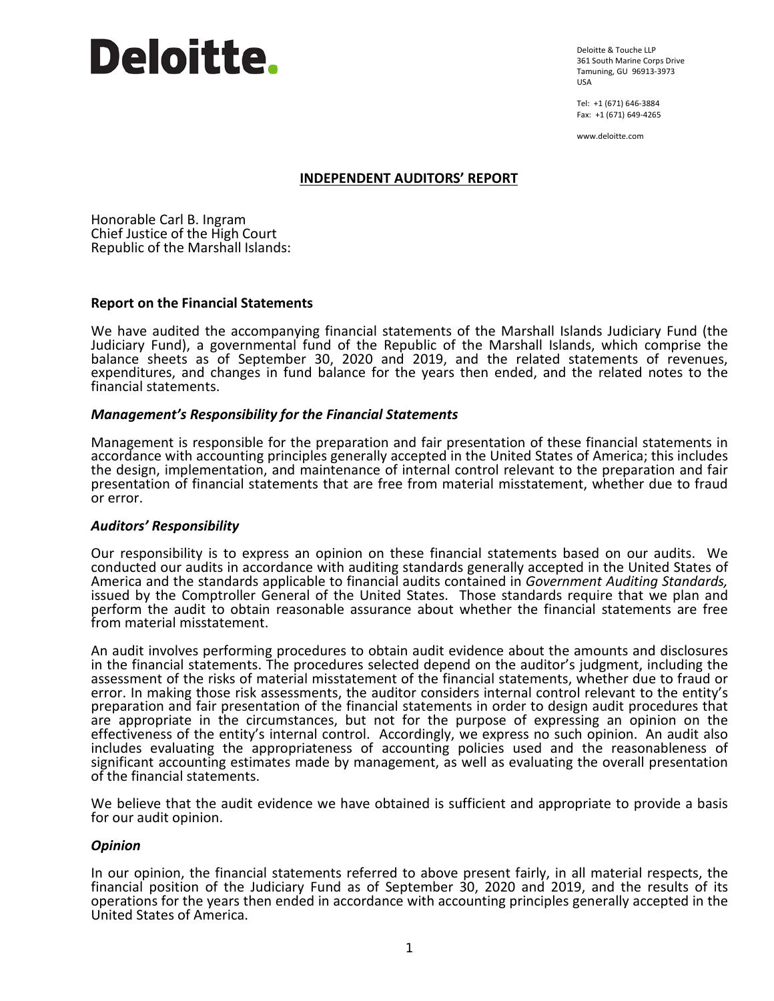# Deloitte.

Deloitte & Touche LLP 361 South Marine Corps Drive Tamuning, GU 96913-3973 USA

Tel: +1 (671) 646-3884 Fax: +1 (671) 649-4265

www.deloitte.com

#### **INDEPENDENT AUDITORS' REPORT**

Honorable Carl B. Ingram Chief Justice of the High Court Republic of the Marshall Islands:

#### **Report on the Financial Statements**

We have audited the accompanying financial statements of the Marshall Islands Judiciary Fund (the Judiciary Fund), a governmental fund of the Republic of the Marshall Islands, which comprise the balance sheets as of September 30, 2020 and 2019, and the related statements of revenues, expenditures, and changes in fund balance for the years then ended, and the related notes to the financial statements.

#### *Management's Responsibility for the Financial Statements*

Management is responsible for the preparation and fair presentation of these financial statements in accordance with accounting principles generally accepted in the United States of America; this includes the design, implementation, and maintenance of internal control relevant to the preparation and fair presentation of financial statements that are free from material misstatement, whether due to fraud or error.

#### *Auditors' Responsibility*

Our responsibility is to express an opinion on these financial statements based on our audits. We conducted our audits in accordance with auditing standards generally accepted in the United States of America and the standards applicable to financial audits contained in *Government Auditing Standards,* issued by the Comptroller General of the United States. Those standards require that we plan and perform the audit to obtain reasonable assurance about whether the financial statements are free from material misstatement.

An audit involves performing procedures to obtain audit evidence about the amounts and disclosures in the financial statements. The procedures selected depend on the auditor's judgment, including the assessment of the risks of material misstatement of the financial statements, whether due to fraud or error. In making those risk assessments, the auditor considers internal control relevant to the entity's preparation and fair presentation of the financial statements in order to design audit procedures that are appropriate in the circumstances, but not for the purpose of expressing an opinion on the effectiveness of the entity's internal control. Accordingly, we express no such opinion. An audit also includes evaluating the appropriateness of accounting policies used and the reasonableness of significant accounting estimates made by management, as well as evaluating the overall presentation of the financial statements.

We believe that the audit evidence we have obtained is sufficient and appropriate to provide a basis for our audit opinion.

#### *Opinion*

In our opinion, the financial statements referred to above present fairly, in all material respects, the financial position of the Judiciary Fund as of September 30, 2020 and 2019, and the results of its operations for the years then ended in accordance with accounting principles generally accepted in the United States of America.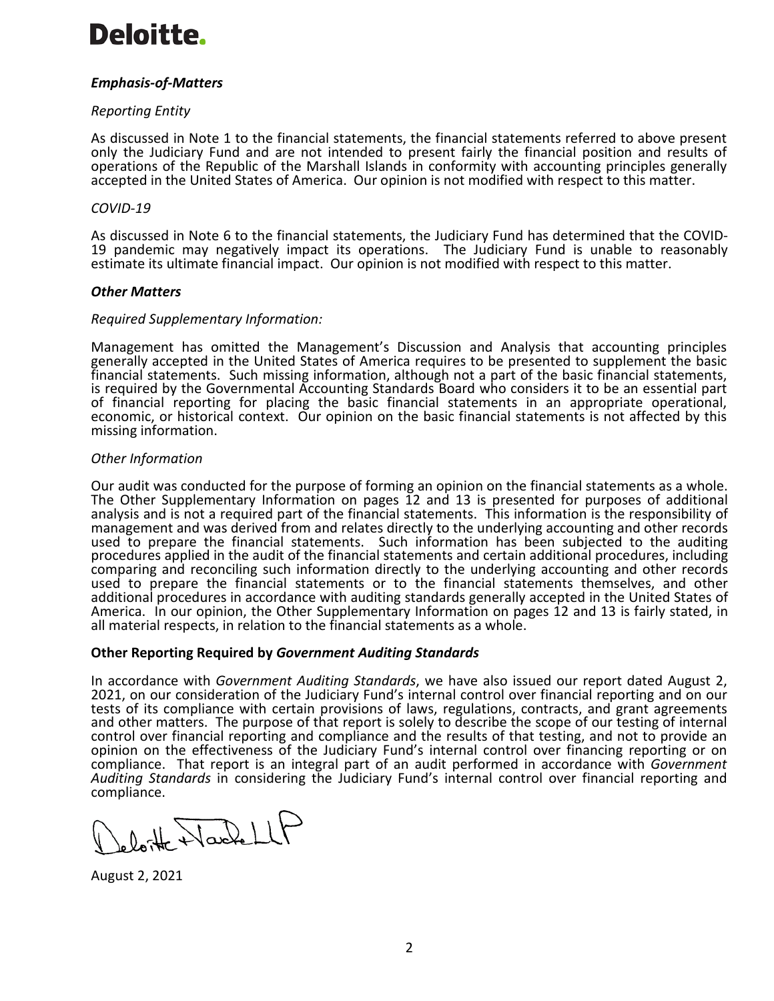# Deloitte.

### *Emphasis-of-Matters*

#### *Reporting Entity*

As discussed in Note 1 to the financial statements, the financial statements referred to above present only the Judiciary Fund and are not intended to present fairly the financial position and results of operations of the Republic of the Marshall Islands in conformity with accounting principles generally accepted in the United States of America. Our opinion is not modified with respect to this matter.

#### *COVID-19*

As discussed in Note 6 to the financial statements, the Judiciary Fund has determined that the COVID- 19 pandemic may negatively impact its operations. The Judiciary Fund is unable to reasonably estimate its ultimate financial impact. Our opinion is not modified with respect to this matter.

#### *Other Matters*

#### *Required Supplementary Information:*

Management has omitted the Management's Discussion and Analysis that accounting principles generally accepted in the United States of America requires to be presented to supplement the basic financial statements. Such missing information, although not a part of the basic financial statements, is required by the Governmental Accounting Standards Board who considers it to be an essential part of financial reporting for placing the basic financial statements in an appropriate operational, economic, or historical context. Our opinion on the basic financial statements is not affected by this missing information.

#### *Other Information*

Our audit was conducted for the purpose of forming an opinion on the financial statements as a whole. The Other Supplementary Information on pages 12 and 13 is presented for purposes of additional analysis and is not a required part of the financial statements. This information is the responsibility of management and was derived from and relates directly to the underlying accounting and other records used to prepare the financial statements. Such information has been subjected to the auditing procedures applied in the audit of the financial statements and certain additional procedures, including comparing and reconciling such information directly to the underlying accounting and other records used to prepare the financial statements or to the financial statements themselves, and other additional procedures in accordance with auditing standards generally accepted in the United States of America. In our opinion, the Other Supplementary Information on pages 12 and 13 is fairly stated, in all material respects, in relation to the financial statements as a whole.

#### **Other Reporting Required by** *Government Auditing Standards*

In accordance with *Government Auditing Standards*, we have also issued our report dated August 2, 2021, on our consideration of the Judiciary Fund's internal control over financial reporting and on our tests of its compliance with certain provisions of laws, regulations, contracts, and grant agreements and other matters. The purpose of that report is solely to describe the scope of our testing of internal control over financial reporting and compliance and the results of that testing, and not to provide an opinion on the effectiveness of the Judiciary Fund's internal control over financing reporting or on compliance. That report is an integral part of an audit performed in accordance with *Government Auditing Standards* in considering the Judiciary Fund's internal control over financial reporting and compliance.

eloite Nachell

August 2, 2021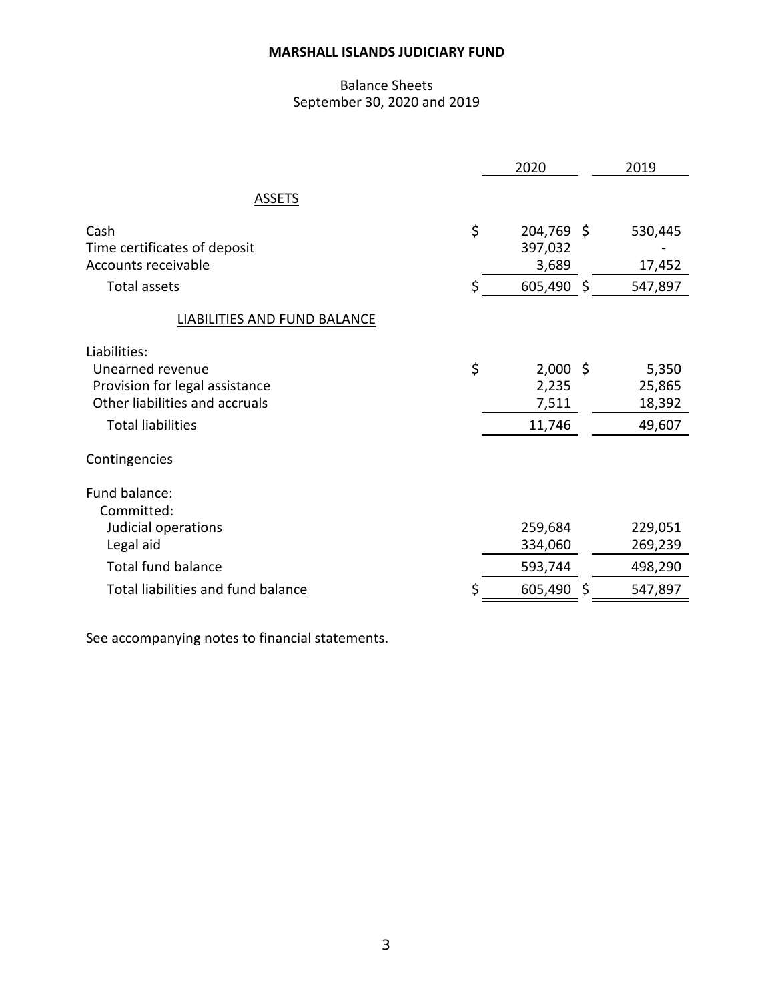# Balance Sheets September 30, 2020 and 2019

|                                                                                                                                  | 2020                                         | 2019                                |
|----------------------------------------------------------------------------------------------------------------------------------|----------------------------------------------|-------------------------------------|
| <b>ASSETS</b>                                                                                                                    |                                              |                                     |
| Cash<br>Time certificates of deposit<br>Accounts receivable                                                                      | \$<br>204,769 \$<br>397,032<br>3,689         | 530,445<br>17,452                   |
| <b>Total assets</b>                                                                                                              | \$<br>605,490 \$                             | 547,897                             |
| <b>LIABILITIES AND FUND BALANCE</b>                                                                                              |                                              |                                     |
| Liabilities:<br>Unearned revenue<br>Provision for legal assistance<br>Other liabilities and accruals<br><b>Total liabilities</b> | \$<br>$2,000$ \$<br>2,235<br>7,511<br>11,746 | 5,350<br>25,865<br>18,392<br>49,607 |
| Contingencies                                                                                                                    |                                              |                                     |
| Fund balance:<br>Committed:<br>Judicial operations<br>Legal aid                                                                  | 259,684<br>334,060                           | 229,051<br>269,239                  |
| <b>Total fund balance</b>                                                                                                        | 593,744                                      | 498,290                             |
| Total liabilities and fund balance                                                                                               | \$<br>605,490 \$                             | 547,897                             |
|                                                                                                                                  |                                              |                                     |

See accompanying notes to financial statements.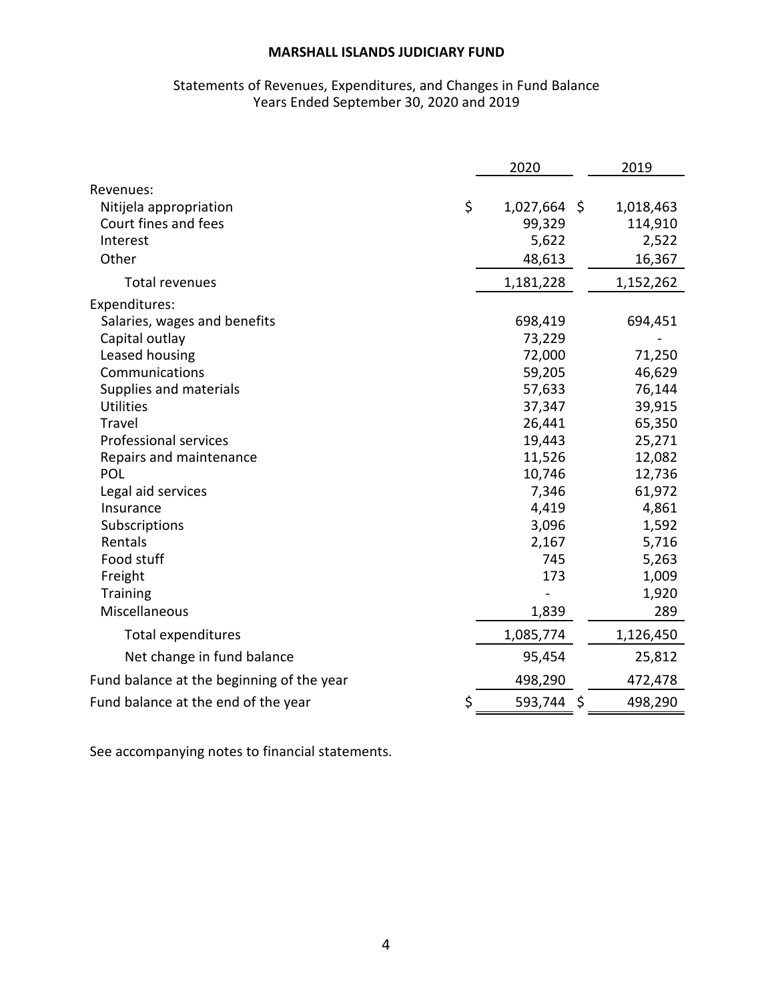## Statements of Revenues, Expenditures, and Changes in Fund Balance Years Ended September 30, 2020 and 2019

|                                           | 2020                 | 2019          |
|-------------------------------------------|----------------------|---------------|
| Revenues:                                 |                      |               |
| Nitijela appropriation                    | \$<br>$1,027,664$ \$ | 1,018,463     |
| Court fines and fees                      | 99,329               | 114,910       |
| Interest                                  | 5,622                | 2,522         |
| Other                                     | 48,613               | 16,367        |
| <b>Total revenues</b>                     | 1,181,228            | 1,152,262     |
| Expenditures:                             |                      |               |
| Salaries, wages and benefits              | 698,419              | 694,451       |
| Capital outlay                            | 73,229               |               |
| Leased housing                            | 72,000               | 71,250        |
| Communications                            | 59,205               | 46,629        |
| Supplies and materials                    | 57,633               | 76,144        |
| <b>Utilities</b>                          | 37,347               | 39,915        |
| <b>Travel</b>                             | 26,441               | 65,350        |
| <b>Professional services</b>              | 19,443               | 25,271        |
| Repairs and maintenance                   | 11,526               | 12,082        |
| POL                                       | 10,746               | 12,736        |
| Legal aid services                        | 7,346                | 61,972        |
| Insurance                                 | 4,419                | 4,861         |
| Subscriptions                             | 3,096                | 1,592         |
| Rentals                                   | 2,167                | 5,716         |
| Food stuff                                | 745                  | 5,263         |
| Freight                                   | 173                  | 1,009         |
| <b>Training</b>                           |                      | 1,920         |
| Miscellaneous                             | 1,839                | 289           |
| Total expenditures                        | 1,085,774            | 1,126,450     |
| Net change in fund balance                | 95,454               | 25,812        |
| Fund balance at the beginning of the year | 498,290              | 472,478       |
| Fund balance at the end of the year       | \$<br>593,744        | \$<br>498,290 |

See accompanying notes to financial statements.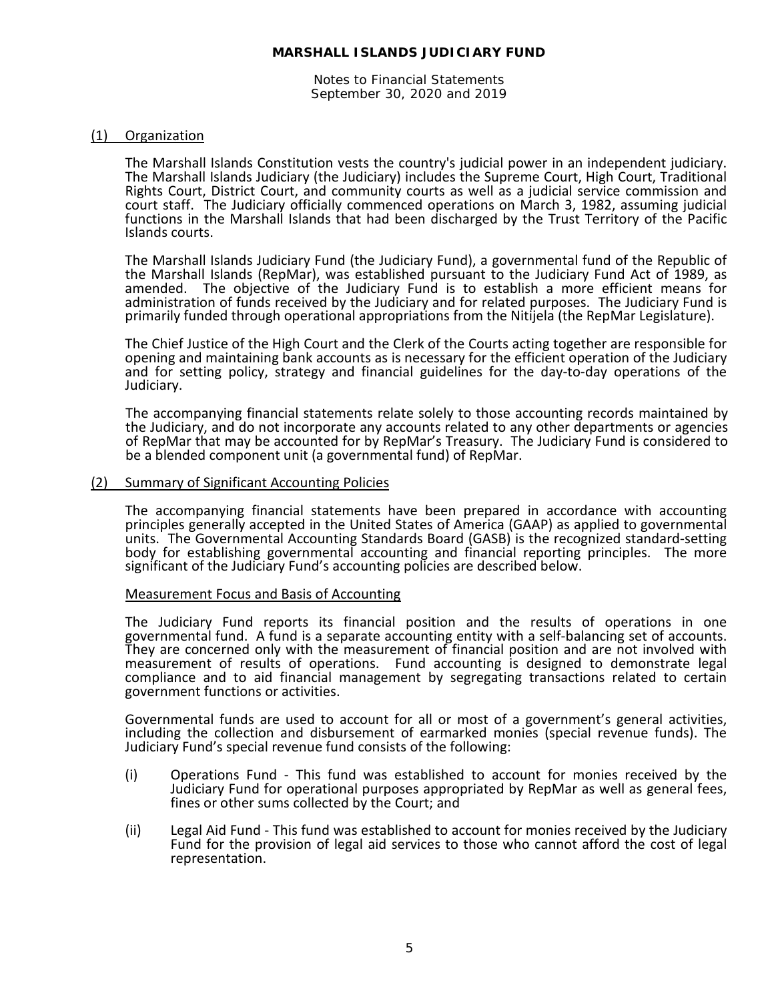Notes to Financial Statements September 30, 2020 and 2019

#### (1) Organization

The Marshall Islands Constitution vests the country's judicial power in an independent judiciary. The Marshall Islands Judiciary (the Judiciary) includes the Supreme Court, High Court, Traditional Rights Court, District Court, and community courts as well as a judicial service commission and court staff. The Judiciary officially commenced operations on March 3, 1982, assuming judicial functions in the Marshall Islands that had been discharged by the Trust Territory of the Pacific Islands courts.

The Marshall Islands Judiciary Fund (the Judiciary Fund), a governmental fund of the Republic of the Marshall Islands (RepMar), was established pursuant to the Judiciary Fund Act of 1989, as amended. The objective of the Judiciary Fund is to establish a more efficient means for administration of funds received by the Judiciary and for related purposes. The Judiciary Fund is primarily funded through operational appropriations from the Nitijela (the RepMar Legislature).

The Chief Justice of the High Court and the Clerk of the Courts acting together are responsible for opening and maintaining bank accounts as is necessary for the efficient operation of the Judiciary and for setting policy, strategy and financial guidelines for the day-to-day operations of the Judiciary.

The accompanying financial statements relate solely to those accounting records maintained by the Judiciary, and do not incorporate any accounts related to any other departments or agencies of RepMar that may be accounted for by RepMar's Treasury. The Judiciary Fund is considered to be a blended component unit (a governmental fund) of RepMar.

#### (2) Summary of Significant Accounting Policies

The accompanying financial statements have been prepared in accordance with accounting principles generally accepted in the United States of America (GAAP) as applied to governmental units. The Governmental Accounting Standards Board (GASB) is the recognized standard-setting body for establishing governmental accounting and financial reporting principles. The more significant of the Judiciary Fund's accounting policies are described below.

#### Measurement Focus and Basis of Accounting

The Judiciary Fund reports its financial position and the results of operations in one governmental fund. A fund is a separate accounting entity with a self-balancing set of accounts. They are concerned only with the measurement of financial position and are not involved with measurement of results of operations. Fund accounting is designed to demonstrate legal compliance and to aid financial management by segregating transactions related to certain government functions or activities.

Governmental funds are used to account for all or most of a government's general activities, including the collection and disbursement of earmarked monies (special revenue funds). The Judiciary Fund's special revenue fund consists of the following:

- (i) Operations Fund This fund was established to account for monies received by the Judiciary Fund for operational purposes appropriated by RepMar as well as general fees, fines or other sums collected by the Court; and
- (ii) Legal Aid Fund This fund was established to account for monies received by the Judiciary Fund for the provision of legal aid services to those who cannot afford the cost of legal representation.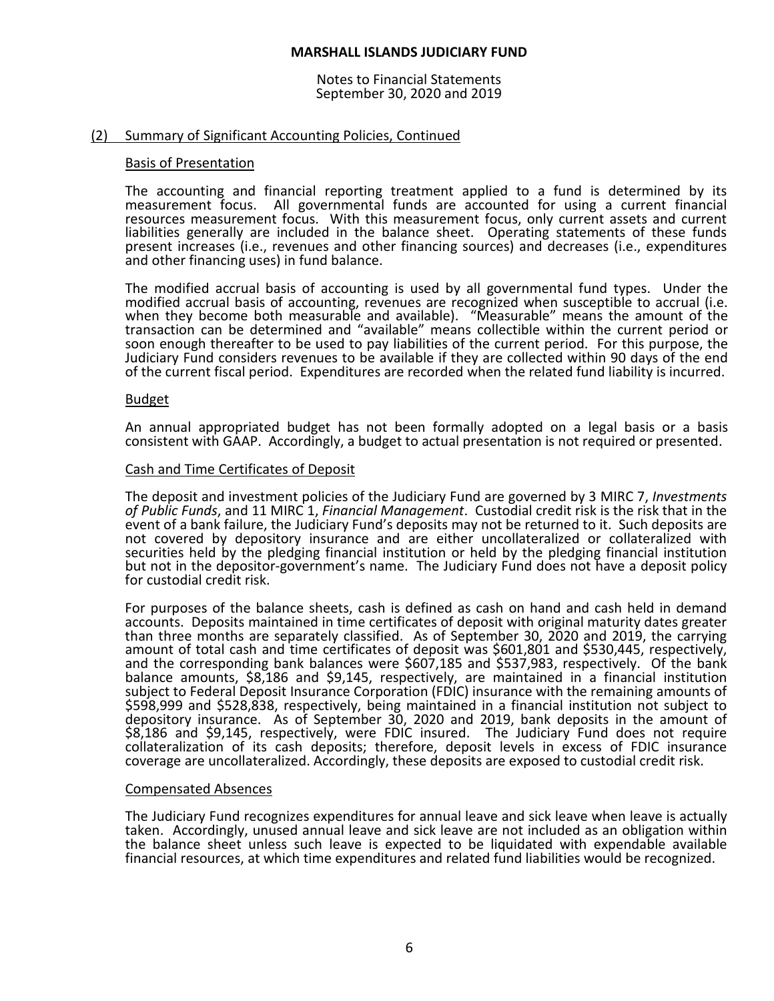Notes to Financial Statements September 30, 2020 and 2019

#### (2) Summary of Significant Accounting Policies, Continued

#### Basis of Presentation

The accounting and financial reporting treatment applied to a fund is determined by its measurement focus. All governmental funds are accounted for using a current financial resources measurement focus. With this measurement focus, only current assets and current liabilities generally are included in the balance sheet. Operating statements of these funds present increases (i.e., revenues and other financing sources) and decreases (i.e., expenditures and other financing uses) in fund balance.

The modified accrual basis of accounting is used by all governmental fund types. Under the modified accrual basis of accounting, revenues are recognized when susceptible to accrual (i.e. when they become both measurable and available). "Measurable" means the amount of the transaction can be determined and "available" means collectible within the current period or soon enough thereafter to be used to pay liabilities of the current period. For this purpose, the Judiciary Fund considers revenues to be available if they are collected within 90 days of the end of the current fiscal period. Expenditures are recorded when the related fund liability is incurred.

#### Budget

An annual appropriated budget has not been formally adopted on a legal basis or a basis consistent with GAAP. Accordingly, a budget to actual presentation is not required or presented.

#### Cash and Time Certificates of Deposit

The deposit and investment policies of the Judiciary Fund are governed by 3 MIRC 7, *Investments of Public Funds*, and 11 MIRC 1, *Financial Management*. Custodial credit risk is the risk that in the event of a bank failure, the Judiciary Fund's deposits may not be returned to it. Such deposits are not covered by depository insurance and are either uncollateralized or collateralized with securities held by the pledging financial institution or held by the pledging financial institution but not in the depositor-government's name. The Judiciary Fund does not have a deposit policy for custodial credit risk.

For purposes of the balance sheets, cash is defined as cash on hand and cash held in demand accounts. Deposits maintained in time certificates of deposit with original maturity dates greater than three months are separately classified. As of September 30, 2020 and 2019, the carrying amount of total cash and time certificates of deposit was \$601,801 and \$530,445, respectively, and the corresponding bank balances were \$607,185 and \$537,983, respectively. Of the bank balance amounts, \$8,186 and \$9,145, respectively, are maintained in a financial institution subject to Federal Deposit Insurance Corporation (FDIC) insurance with the remaining amounts of<br>\$598,999 and \$528,838, respectively, being maintained in a financial institution not subject to depository insurance. As of September 30, 2020 and 2019, bank deposits in the amount of \$8,186 and \$9,145, respectively, were FDIC insured. The Judiciary Fund does not require collateralization of its cash deposits; therefore, deposit levels in excess of FDIC insurance coverage are uncollateralized. Accordingly, these deposits are exposed to custodial credit risk.

#### Compensated Absences

The Judiciary Fund recognizes expenditures for annual leave and sick leave when leave is actually taken. Accordingly, unused annual leave and sick leave are not included as an obligation within the balance sheet unless such leave is expected to be liquidated with expendable available financial resources, at which time expenditures and related fund liabilities would be recognized.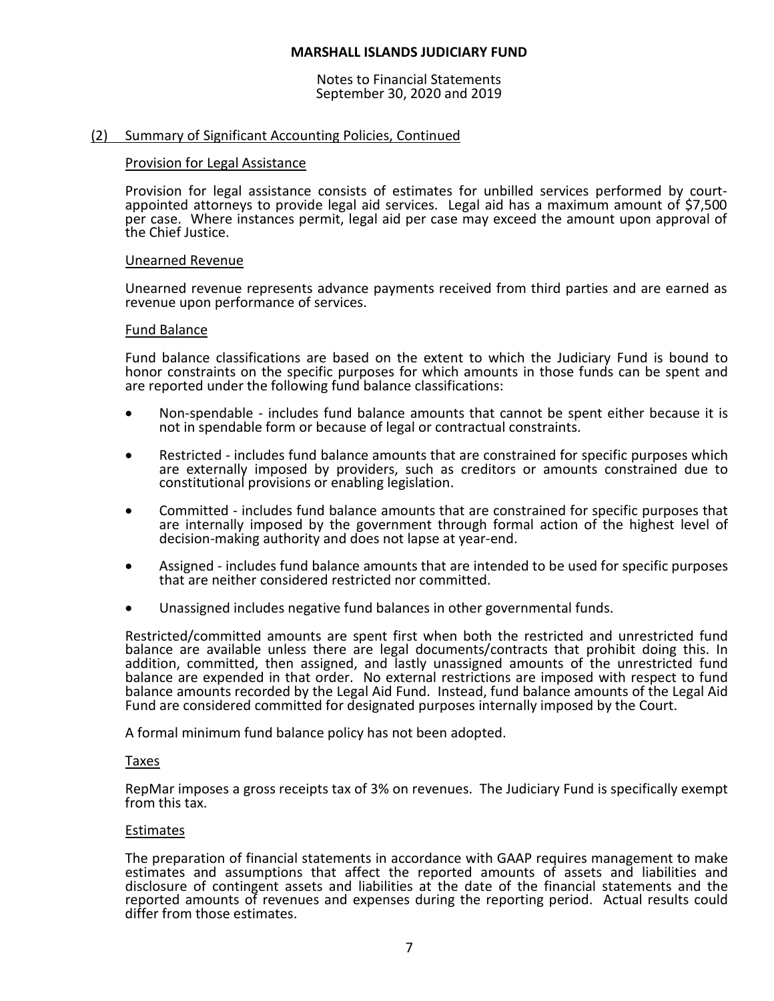Notes to Financial Statements September 30, 2020 and 2019

#### (2) Summary of Significant Accounting Policies, Continued

#### Provision for Legal Assistance

Provision for legal assistance consists of estimates for unbilled services performed by court- appointed attorneys to provide legal aid services. Legal aid has a maximum amount of \$7,500 per case. Where instances permit, legal aid per case may exceed the amount upon approval of the Chief Justice.

#### Unearned Revenue

Unearned revenue represents advance payments received from third parties and are earned as revenue upon performance of services.

#### Fund Balance

Fund balance classifications are based on the extent to which the Judiciary Fund is bound to honor constraints on the specific purposes for which amounts in those funds can be spent and are reported under the following fund balance classifications:

- Non-spendable includes fund balance amounts that cannot be spent either because it is not in spendable form or because of legal or contractual constraints.
- Restricted includes fund balance amounts that are constrained for specific purposes which are externally imposed by providers, such as creditors or amounts constrained due to constitutional provisions or enabling legislation.
- Committed includes fund balance amounts that are constrained for specific purposes that are internally imposed by the government through formal action of the highest level of decision-making authority and does not lapse at year-end.
- Assigned includes fund balance amounts that are intended to be used for specific purposes that are neither considered restricted nor committed.
- Unassigned includes negative fund balances in other governmental funds.

Restricted/committed amounts are spent first when both the restricted and unrestricted fund balance are available unless there are legal documents/contracts that prohibit doing this. In addition, committed, then assigned, and lastly unassigned amounts of the unrestricted fund balance are expended in that order. No external restrictions are imposed with respect to fund balance amounts recorded by the Legal Aid Fund. Instead, fund balance amounts of the Legal Aid Fund are considered committed for designated purposes internally imposed by the Court.

A formal minimum fund balance policy has not been adopted.

#### Taxes

RepMar imposes a gross receipts tax of 3% on revenues. The Judiciary Fund is specifically exempt from this tax.

#### Estimates

The preparation of financial statements in accordance with GAAP requires management to make estimates and assumptions that affect the reported amounts of assets and liabilities and disclosure of contingent assets and liabilities at the date of the financial statements and the reported amounts of revenues and expenses during the reporting period. Actual results could differ from those estimates.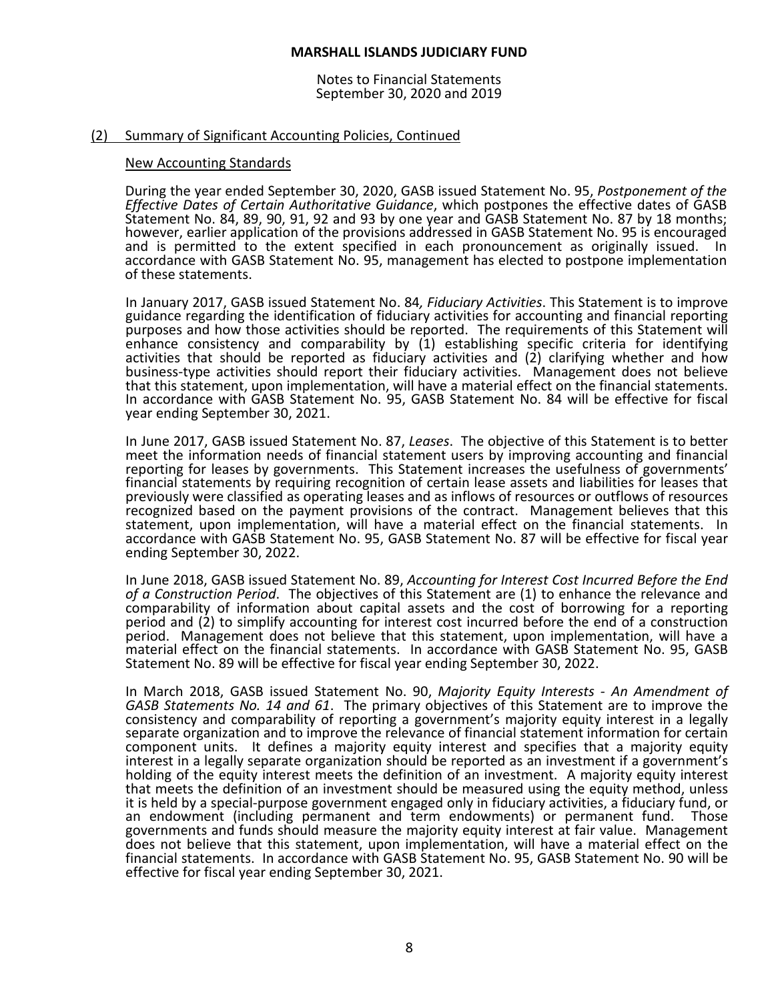Notes to Financial Statements September 30, 2020 and 2019

#### (2) Summary of Significant Accounting Policies, Continued

#### New Accounting Standards

During the year ended September 30, 2020, GASB issued Statement No. 95, *Postponement of the Effective Dates of Certain Authoritative Guidance*, which postpones the effective dates of GASB Statement No. 84, 89, 90, 91, 92 and 93 by one year and GASB Statement No. 87 by 18 months; however, earlier application of the provisions addressed in GASB Statement No. 95 is encouraged and is permitted to the extent specified in each pronouncement as originally issued. In accordance with GASB Statement No. 95, management has elected to postpone implementation of these statements.

In January 2017, GASB issued Statement No. 84*, Fiduciary Activities*. This Statement is to improve guidance regarding the identification of fiduciary activities for accounting and financial reporting purposes and how those activities should be reported. The requirements of this Statement will enhance consistency and comparability by (1) establishing specific criteria for identifying activities that should be reported as fiduciary activities and (2) clarifying whether and how business-type activities should report their fiduciary activities. Management does not believe that this statement, upon implementation, will have a material effect on the financial statements. In accordance with GASB Statement No. 95, GASB Statement No. 84 will be effective for fiscal year ending September 30, 2021.

In June 2017, GASB issued Statement No. 87, *Leases*. The objective of this Statement is to better meet the information needs of financial statement users by improving accounting and financial reporting for leases by governments. This Statement increases the usefulness of governments' financial statements by requiring recognition of certain lease assets and liabilities for leases that previously were classified as operating leases and as inflows of resources or outflows of resources recognized based on the payment provisions of the contract. Management believes that this statement, upon implementation, will have a material effect on the financial statements. In accordance with GASB Statement No. 95, GASB Statement No. 87 will be effective for fiscal year ending September 30, 2022.

In June 2018, GASB issued Statement No. 89, *Accounting for Interest Cost Incurred Before the End of a Construction Period*. The objectives of this Statement are (1) to enhance the relevance and comparability of information about capital assets and the cost of borrowing for a reporting period and (2) to simplify accounting for interest cost incurred before the end of a construction period. Management does not believe that this statement, upon implementation, will have a material effect on the financial statements. In accordance with GASB Statement No. 95, GASB Statement No. 89 will be effective for fiscal year ending September 30, 2022.

In March 2018, GASB issued Statement No. 90, *Majority Equity Interests - An Amendment of GASB Statements No. 14 and 61*. The primary objectives of this Statement are to improve the consistency and comparability of reporting a government's majority equity interest in a legally separate organization and to improve the relevance of financial statement information for certain component units. It defines a majority equity interest and specifies that a majority equity interest in a legally separate organization should be reported as an investment if a government's holding of the equity interest meets the definition of an investment. A majority equity interest that meets the definition of an investment should be measured using the equity method, unless it is held by a special-purpose government engaged only in fiduciary activities, a fiduciary fund, or an endowment (including permanent and term endowments) or permanent fund. Those governments and funds should measure the majority equity interest at fair value. Management does not believe that this statement, upon implementation, will have a material effect on the financial statements. In accordance with GASB Statement No. 95, GASB Statement No. 90 will be effective for fiscal year ending September 30, 2021.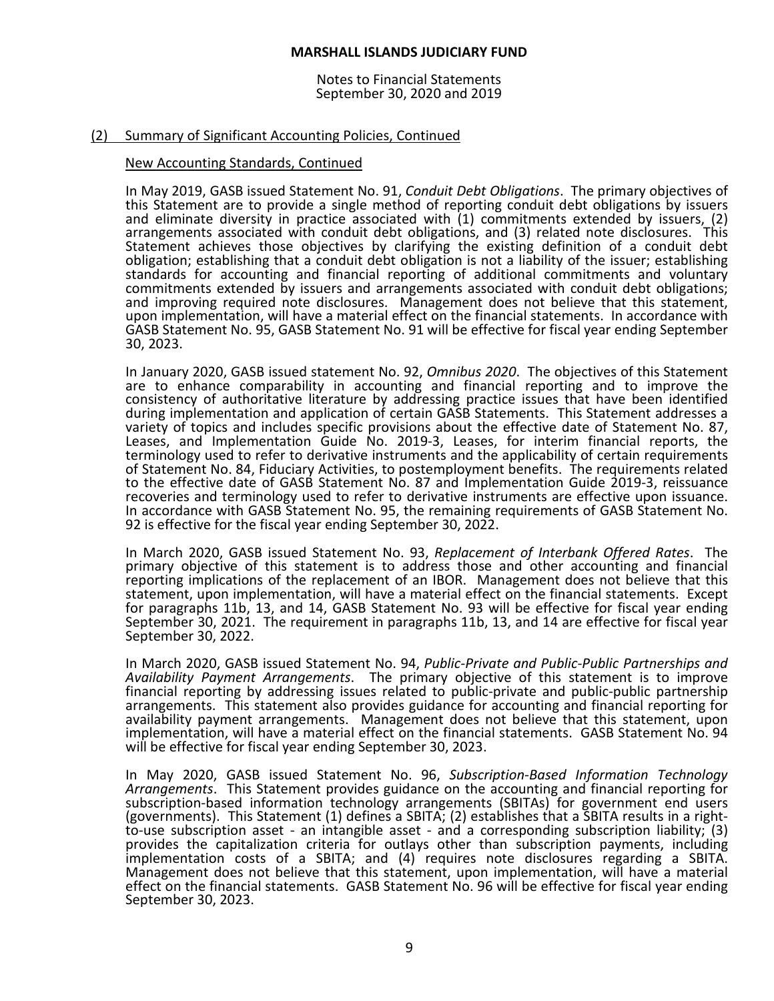Notes to Financial Statements September 30, 2020 and 2019

#### (2) Summary of Significant Accounting Policies, Continued

#### New Accounting Standards, Continued

In May 2019, GASB issued Statement No. 91, *Conduit Debt Obligations*. The primary objectives of this Statement are to provide a single method of reporting conduit debt obligations by issuers and eliminate diversity in practice associated with (1) commitments extended by issuers, (2) arrangements associated with conduit debt obligations, and (3) related note disclosures. This Statement achieves those objectives by clarifying the existing definition of a conduit debt obligation; establishing that a conduit debt obligation is not a liability of the issuer; establishing standards for accounting and financial reporting of additional commitments and voluntary commitments extended by issuers and arrangements associated with conduit debt obligations; and improving required note disclosures. Management does not believe that this statement, upon implementation, will have a material effect on the financial statements. In accordance with GASB Statement No. 95, GASB Statement No. 91 will be effective for fiscal year ending September 30, 2023.

In January 2020, GASB issued statement No. 92, *Omnibus 2020*. The objectives of this Statement are to enhance comparability in accounting and financial reporting and to improve the consistency of authoritative literature by addressing practice issues that have been identified during implementation and application of certain GASB Statements. This Statement addresses a variety of topics and includes specific provisions about the effective date of Statement No. 87, Leases, and Implementation Guide No. 2019-3, Leases, for interim financial reports, the terminology used to refer to derivative instruments and the applicability of certain requirements of Statement No. 84, Fiduciary Activities, to postemployment benefits. The requirements related to the effective date of GASB Statement No. 87 and Implementation Guide 2019-3, reissuance recoveries and terminology used to refer to derivative instruments are effective upon issuance. In accordance with GASB Statement No. 95, the remaining requirements of GASB Statement No. 92 is effective for the fiscal year ending September 30, 2022.

In March 2020, GASB issued Statement No. 93, *Replacement of Interbank Offered Rates*. The primary objective of this statement is to address those and other accounting and financial reporting implications of the replacement of an IBOR. Management does not believe that this statement, upon implementation, will have a material effect on the financial statements. Except for paragraphs 11b, 13, and 14, GASB Statement No. 93 will be effective for fiscal year ending September 30, 2021. The requirement in paragraphs 11b, 13, and 14 are effective for fiscal year September 30, 2022.

In March 2020, GASB issued Statement No. 94, *Public-Private and Public-Public Partnerships and Availability Payment Arrangements*. The primary objective of this statement is to improve financial reporting by addressing issues related to public-private and public-public partnership arrangements. This statement also provides guidance for accounting and financial reporting for availability payment arrangements. Management does not believe that this statement, upon implementation, will have a material effect on the financial statements. GASB Statement No. 94 will be effective for fiscal year ending September 30, 2023.

In May 2020, GASB issued Statement No. 96, *Subscription-Based Information Technology Arrangements*. This Statement provides guidance on the accounting and financial reporting for subscription-based information technology arrangements (SBITAs) for government end users (governments). This Statement (1) defines a SBITA; (2) establishes that a SBITA results in a rightto-use subscription asset - an intangible asset - and a corresponding subscription liability; (3) provides the capitalization criteria for outlays other than subscription payments, including implementation costs of a SBITA; and (4) requires note disclosures regarding a SBITA. Management does not believe that this statement, upon implementation, will have a material effect on the financial statements. GASB Statement No. 96 will be effective for fiscal year ending September 30, 2023.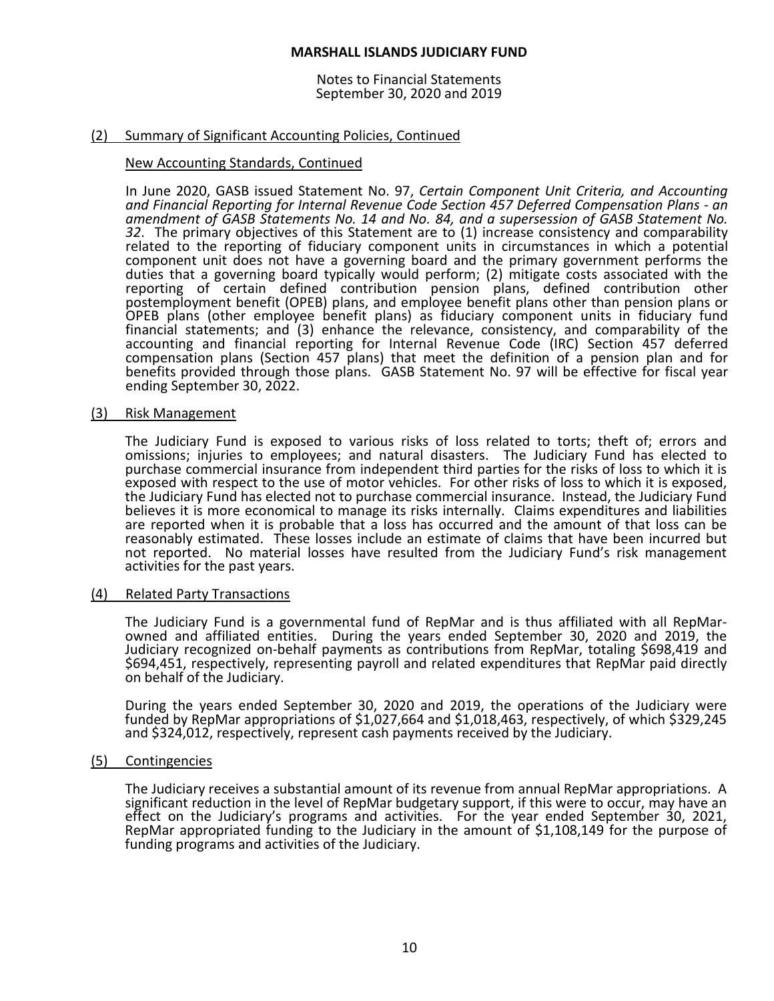Notes to Financial Statements September 30, 2020 and 2019

#### (2) Summary of Significant Accounting Policies, Continued

#### New Accounting Standards, Continued

In June 2020, GASB issued Statement No. 97, *Certain Component Unit Criteria, and Accounting and Financial Reporting for Internal Revenue Code Section 457 Deferred Compensation Plans - an amendment of GASB Statements No. 14 and No. 84, and a supersession of GASB Statement No. 32*. The primary objectives of this Statement are to (1) increase consistency and comparability related to the reporting of fiduciary component units in circumstances in which a potential component unit does not have a governing board and the primary government performs the duties that a governing board typically would perform; (2) mitigate costs associated with the reporting of certain defined contribution pension plans, defined contribution other postemployment benefit (OPEB) plans, and employee benefit plans other than pension plans or OPEB plans (other employee benefit plans) as fiduciary component units in fiduciary fund financial statements; and (3) enhance the relevance, consistency, and comparability of the accounting and financial reporting for Internal Revenue Code (IRC) Section 457 deferred compensation plans (Section 457 plans) that meet the definition of a pension plan and for benefits provided through those plans. GASB Statement No. 97 will be effective for fiscal year ending September 30, 2022.

#### (3) Risk Management

The Judiciary Fund is exposed to various risks of loss related to torts; theft of; errors and omissions; injuries to employees; and natural disasters. The Judiciary Fund has elected to purchase commercial insurance from independent third parties for the risks of loss to which it is exposed.<br>exposed with respect to the use of motor vehicles. For other risks of loss to which it is exposed. the Judiciary Fund has elected not to purchase commercial insurance. Instead, the Judiciary Fund believes it is more economical to manage its risks internally. Claims expenditures and liabilities are reported when it is probable that a loss has occurred and the amount of that loss can be reasonably estimated. These losses include an estimate of claims that have been incurred but not reported. No material losses have resulted from the Judiciary Fund's risk management activities for the past years.

#### (4) Related Party Transactions

The Judiciary Fund is a governmental fund of RepMar and is thus affiliated with all RepMar- owned and affiliated entities. During the years ended September 30, 2020 and 2019, the Judiciary recognized on-behalf payments as contributions from RepMar, totaling \$698,419 and \$694,451, respectively, representing payroll and related expenditures that RepMar paid directly on behalf of the Judiciary.

During the years ended September 30, 2020 and 2019, the operations of the Judiciary were funded by RepMar appropriations of \$1,027,664 and \$1,018,463, respectively, of which \$329,245 and \$324,012, respectively, represent cash payments received by the Judiciary.

#### (5) Contingencies

The Judiciary receives a substantial amount of its revenue from annual RepMar appropriations. A significant reduction in the level of RepMar budgetary support, if this were to occur, may have an effect on the Judiciary's programs and activities. For the year ended September 30, 2021, RepMar appropriated funding to the Judiciary in the amount of \$1,108,149 for the purpose of funding programs and activities of the Judiciary.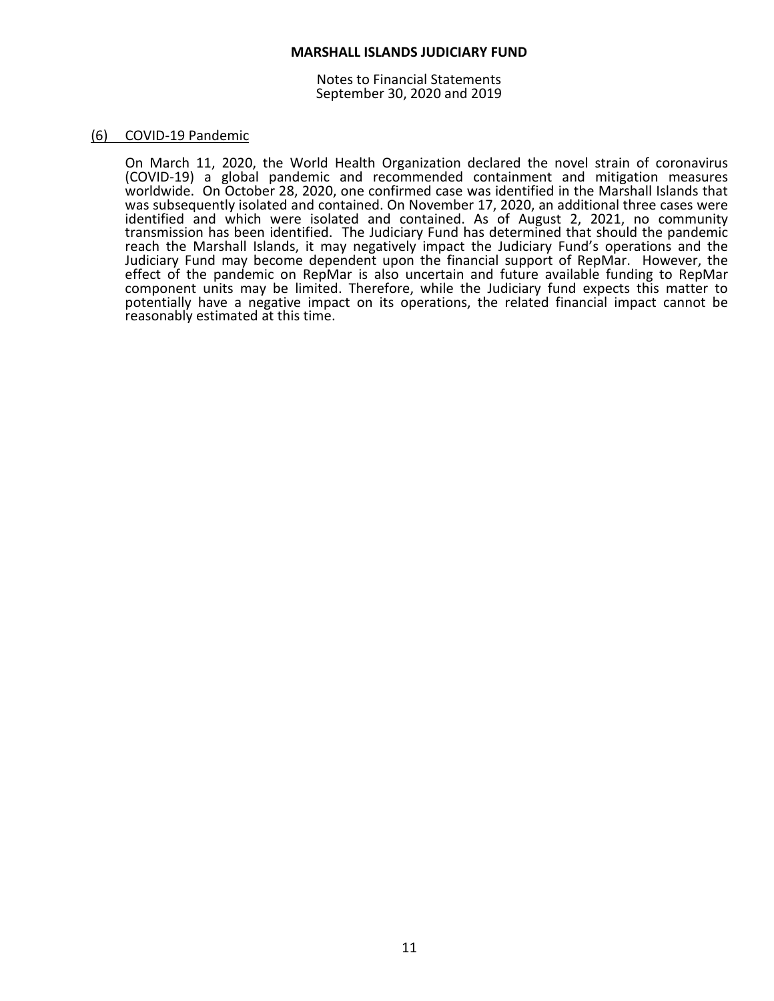Notes to Financial Statements September 30, 2020 and 2019

#### (6) COVID-19 Pandemic

On March 11, 2020, the World Health Organization declared the novel strain of coronavirus (COVID-19) a global pandemic and recommended containment and mitigation measures worldwide. On October 28, 2020, one confirmed case was identified in the Marshall Islands that was subsequently isolated and contained. On November 17, 2020, an additional three cases were identified and which were isolated and contained. As of August 2, 2021, no community transmission has been identified. The Judiciary Fund has determined that should the pandemic reach the Marshall Islands, it may negatively impact the Judiciary Fund's operations and the Judiciary Fund may become dependent upon the financial support of RepMar. However, the effect of the pandemic on RepMar is also uncertain and future available funding to RepMar component units may be limited. Therefore, while the Judiciary fund expects this matter to potentially have a negative impact on its operations, the related financial impact cannot be reasonably estimated at this time.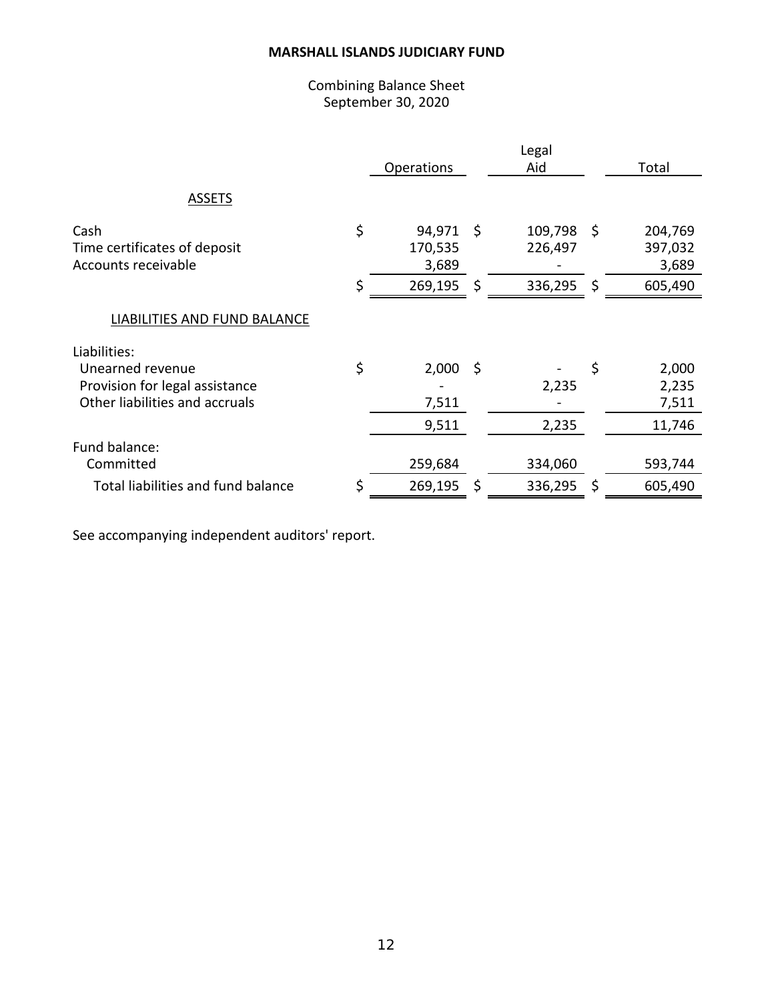# Combining Balance Sheet September 30, 2020

|                                                                                                      |          | Operations                            |            | Legal<br>Aid                  |            | Total                                  |
|------------------------------------------------------------------------------------------------------|----------|---------------------------------------|------------|-------------------------------|------------|----------------------------------------|
| <b>ASSETS</b>                                                                                        |          |                                       |            |                               |            |                                        |
| Cash<br>Time certificates of deposit<br>Accounts receivable                                          | \$<br>\$ | 94,971<br>170,535<br>3,689<br>269,195 | - \$<br>\$ | 109,798<br>226,497<br>336,295 | -\$<br>-\$ | 204,769<br>397,032<br>3,689<br>605,490 |
| LIABILITIES AND FUND BALANCE                                                                         |          |                                       |            |                               |            |                                        |
| Liabilities:<br>Unearned revenue<br>Provision for legal assistance<br>Other liabilities and accruals | \$       | 2,000<br>7,511<br>9,511               | - \$       | 2,235<br>2,235                | \$         | 2,000<br>2,235<br>7,511<br>11,746      |
| Fund balance:<br>Committed                                                                           |          | 259,684                               |            | 334,060                       |            | 593,744                                |
| Total liabilities and fund balance                                                                   | \$       | 269,195                               | \$         | 336,295                       | \$         | 605,490                                |

See accompanying independent auditors' report.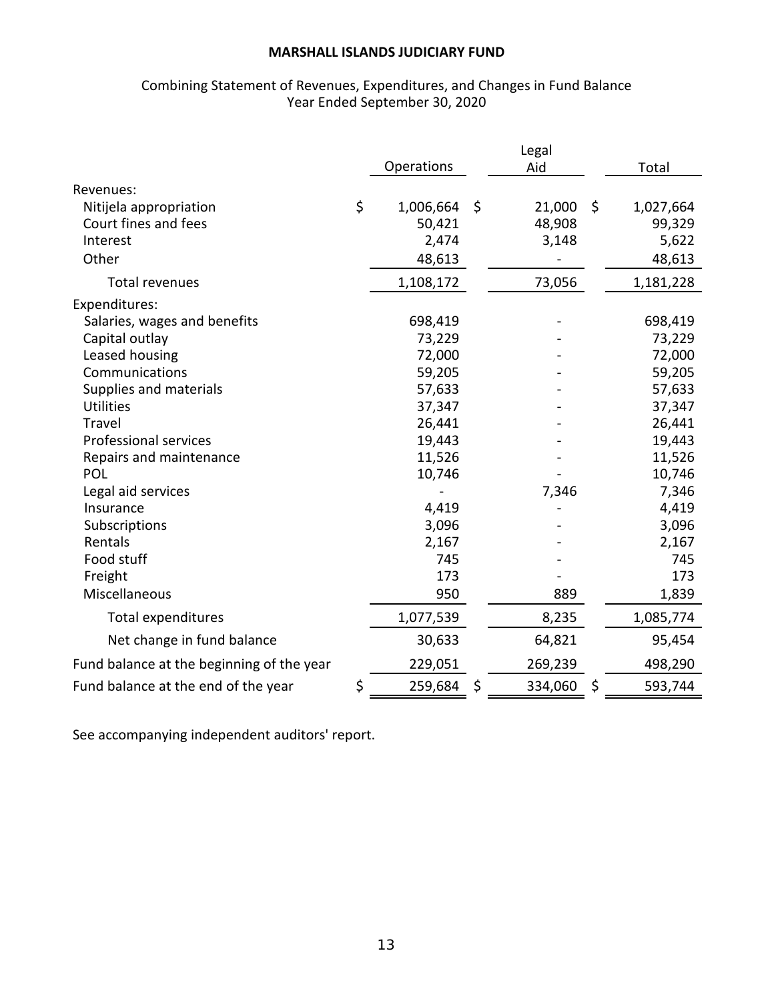# Combining Statement of Revenues, Expenditures, and Changes in Fund Balance Year Ended September 30, 2020

|                                           |                 | Legal         |         |           |
|-------------------------------------------|-----------------|---------------|---------|-----------|
|                                           | Operations      | Aid           |         | Total     |
| Revenues:                                 |                 |               |         |           |
| Nitijela appropriation                    | \$<br>1,006,664 | \$<br>21,000  | $\zeta$ | 1,027,664 |
| Court fines and fees                      | 50,421          | 48,908        |         | 99,329    |
| Interest                                  | 2,474           | 3,148         |         | 5,622     |
| Other                                     | 48,613          |               |         | 48,613    |
| Total revenues                            | 1,108,172       | 73,056        |         | 1,181,228 |
| Expenditures:                             |                 |               |         |           |
| Salaries, wages and benefits              | 698,419         |               |         | 698,419   |
| Capital outlay                            | 73,229          |               |         | 73,229    |
| Leased housing                            | 72,000          |               |         | 72,000    |
| Communications                            | 59,205          |               |         | 59,205    |
| Supplies and materials                    | 57,633          |               |         | 57,633    |
| <b>Utilities</b>                          | 37,347          |               |         | 37,347    |
| Travel                                    | 26,441          |               |         | 26,441    |
| <b>Professional services</b>              | 19,443          |               |         | 19,443    |
| Repairs and maintenance                   | 11,526          |               |         | 11,526    |
| POL                                       | 10,746          |               |         | 10,746    |
| Legal aid services                        |                 | 7,346         |         | 7,346     |
| Insurance                                 | 4,419           |               |         | 4,419     |
| Subscriptions                             | 3,096           |               |         | 3,096     |
| Rentals                                   | 2,167           |               |         | 2,167     |
| Food stuff                                | 745             |               |         | 745       |
| Freight                                   | 173             |               |         | 173       |
| Miscellaneous                             | 950             | 889           |         | 1,839     |
| <b>Total expenditures</b>                 | 1,077,539       | 8,235         |         | 1,085,774 |
| Net change in fund balance                | 30,633          | 64,821        |         | 95,454    |
| Fund balance at the beginning of the year | 229,051         | 269,239       |         | 498,290   |
| Fund balance at the end of the year       | \$<br>259,684   | \$<br>334,060 | \$      | 593,744   |

See accompanying independent auditors' report.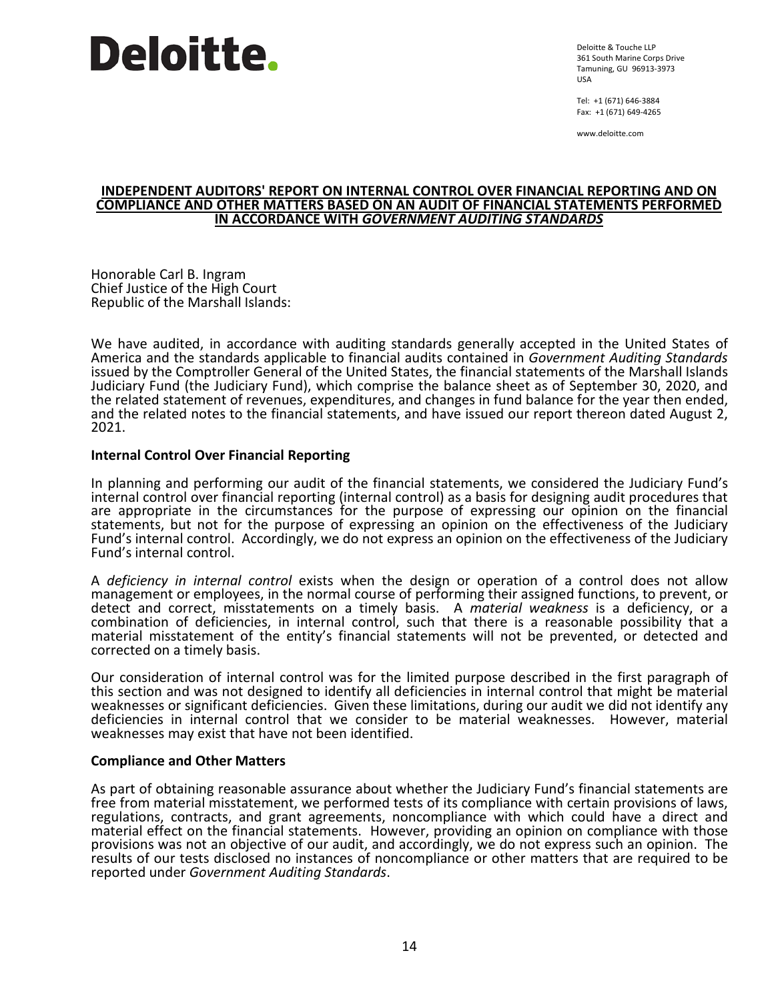# **Deloitte.**

Deloitte & Touche LLP 361 South Marine Corps Drive Tamuning, GU 96913-3973 USA

Tel: +1 (671) 646-3884 Fax: +1 (671) 649-4265

www.deloitte.com

#### **INDEPENDENT AUDITORS' REPORT ON INTERNAL CONTROL OVER FINANCIAL REPORTING AND ON COMPLIANCE AND OTHER MATTERS BASED ON AN AUDIT OF FINANCIAL STATEMENTS PERFORMED IN ACCORDANCE WITH** *GOVERNMENT AUDITING STANDARDS*

Honorable Carl B. Ingram Chief Justice of the High Court Republic of the Marshall Islands:

We have audited, in accordance with auditing standards generally accepted in the United States of America and the standards applicable to financial audits contained in *Government Auditing Standards* issued by the Comptroller General of the United States, the financial statements of the Marshall Islands Judiciary Fund (the Judiciary Fund), which comprise the balance sheet as of September 30, 2020, and the related statement of revenues, expenditures, and changes in fund balance for the year then ended, and the related notes to the financial statements, and have issued our report thereon dated August 2, 2021.

#### **Internal Control Over Financial Reporting**

In planning and performing our audit of the financial statements, we considered the Judiciary Fund's internal control over financial reporting (internal control) as a basis for designing audit procedures that are appropriate in the circumstances for the purpose of expressing our opinion on the financial statements, but not for the purpose of expressing an opinion on the effectiveness of the Judiciary Fund's internal control. Accordingly, we do not express an opinion on the effectiveness of the Judiciary Fund's internal control.

A *deficiency in internal control* exists when the design or operation of a control does not allow management or employees, in the normal course of performing their assigned functions, to prevent, or detect and correct, misstatements on a timely basis. A *material weakness* is a deficiency, or a combination of deficiencies, in internal control, such that there is a reasonable possibility that a material misstatement of the entity's financial statements will not be prevented, or detected and corrected on a timely basis.

Our consideration of internal control was for the limited purpose described in the first paragraph of this section and was not designed to identify all deficiencies in internal control that might be material weaknesses or significant deficiencies. Given these limitations, during our audit we did not identify any deficiencies in internal control that we consider to be material weaknesses. However, material weaknesses may exist that have not been identified.

#### **Compliance and Other Matters**

As part of obtaining reasonable assurance about whether the Judiciary Fund's financial statements are free from material misstatement, we performed tests of its compliance with certain provisions of laws, regulations, contracts, and grant agreements, noncompliance with which could have a direct and material effect on the financial statements. However, providing an opinion on compliance with those provisions was not an objective of our audit, and accordingly, we do not express such an opinion. The results of our tests disclosed no instances of noncompliance or other matters that are required to be reported under *Government Auditing Standards*.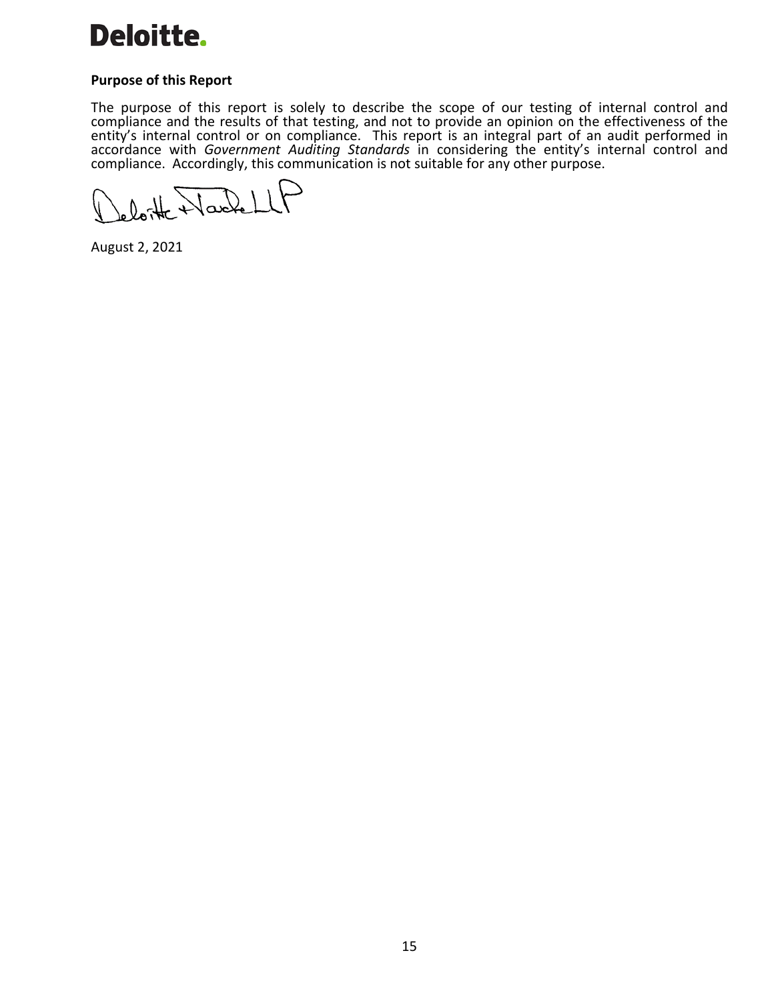

#### **Purpose of this Report**

The purpose of this report is solely to describe the scope of our testing of internal control and compliance and the results of that testing, and not to provide an opinion on the effectiveness of the entity's internal control or on compliance. This report is an integral part of an audit performed in accordance with *Government Auditing Standards* in considering the entity's internal control and compliance. Accordingly, this communication is not suitable for any other purpose.

lette Harlet

August 2, 2021